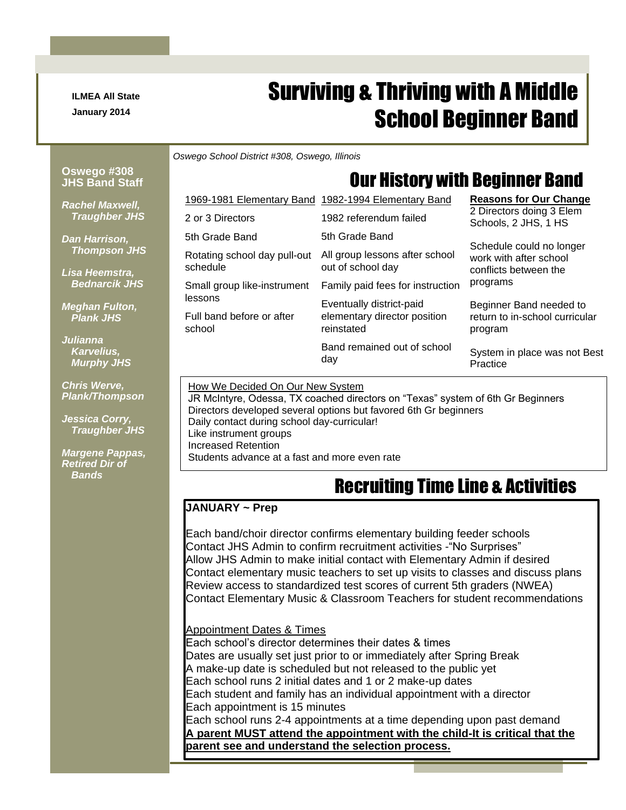**ILMEA All State January 2014**

# Surviving & Thriving with A Middle School Beginner Band

*Oswego School District #308, Oswego, Illinois*

1969-1981 Elementary Band 1982-1994 Elementary Band

#### **Oswego #308 JHS Band Staff**

# Our History with Beginner Band

**Reasons for Our Change**

*Rachel Maxwell, Traughber JHS*

*Dan Harrison, Thompson JHS*

*Lisa Heemstra, Bednarcik JHS*

*Meghan Fulton, Plank JHS*

*Julianna Karvelius, Murphy JHS*

*Chris Werve, Plank/Thompson*

*Jessica Corry, Traughber JHS*

*Margene Pappas, Retired Dir of Bands*

|                                          | Band remained out of school<br>day                  | System in place was not Best<br>Practice                                                                                        |  |
|------------------------------------------|-----------------------------------------------------|---------------------------------------------------------------------------------------------------------------------------------|--|
| Full band before or after<br>school      | elementary director position<br>reinstated          | return to in-school curricular<br>program                                                                                       |  |
| lessons                                  | Eventually district-paid                            | Beginner Band needed to                                                                                                         |  |
| Small group like-instrument              | Family paid fees for instruction                    | programs                                                                                                                        |  |
| Rotating school day pull-out<br>schedule | All group lessons after school<br>out of school day | 2 Directors doing 3 Elem<br>Schools, 2 JHS, 1 HS<br>Schedule could no longer<br>work with after school<br>conflicts between the |  |
| 5th Grade Band                           | 5th Grade Band                                      |                                                                                                                                 |  |
| 2 or 3 Directors                         | 1982 referendum failed                              |                                                                                                                                 |  |

How We Decided On Our New System

JR McIntyre, Odessa, TX coached directors on "Texas" system of 6th Gr Beginners Directors developed several options but favored 6th Gr beginners Daily contact during school day-curricular! Like instrument groups Increased Retention Students advance at a fast and more even rate

## Recruiting Time Line & Activities

#### **JANUARY ~ Prep**

Each band/choir director confirms elementary building feeder schools Contact JHS Admin to confirm recruitment activities -"No Surprises" Allow JHS Admin to make initial contact with Elementary Admin if desired Contact elementary music teachers to set up visits to classes and discuss plans Review access to standardized test scores of current 5th graders (NWEA) Contact Elementary Music & Classroom Teachers for student recommendations

#### Appointment Dates & Times

Each school's director determines their dates & times Dates are usually set just prior to or immediately after Spring Break A make-up date is scheduled but not released to the public yet Each school runs 2 initial dates and 1 or 2 make-up dates Each student and family has an individual appointment with a director Each appointment is 15 minutes Each school runs 2-4 appointments at a time depending upon past demand **A parent MUST attend the appointment with the child-It is critical that the parent see and understand the selection process.**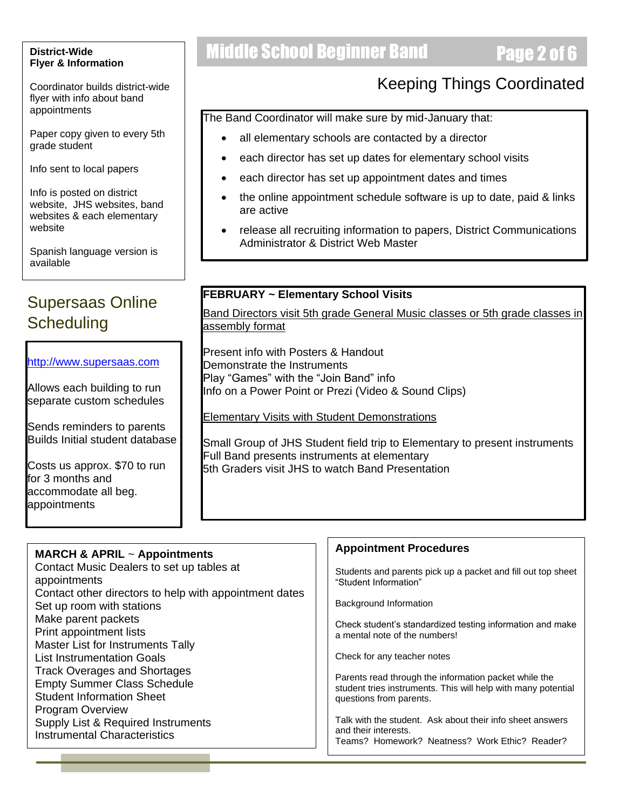#### **District-Wide Flyer & Information**

Coordinator builds district-wide flyer with info about band appointments

Paper copy given to every 5th grade student

Info sent to local papers

Info is posted on district website, JHS websites, band websites & each elementary website

Spanish language version is available

### Supersaas Online **Scheduling**

[http://www.supersaas.com](http://www.supersaas.com/)

Allows each building to run separate custom schedules

Sends reminders to parents Builds Initial student database

Costs us approx. \$70 to run for 3 months and accommodate all beg. appointments

# **Middle School Beginner Band Page 2 of 6**

### Keeping Things Coordinated

The Band Coordinator will make sure by mid-January that:

- all elementary schools are contacted by a director
- each director has set up dates for elementary school visits
- each director has set up appointment dates and times
- the online appointment schedule software is up to date, paid & links are active
- release all recruiting information to papers, District Communications Administrator & District Web Master

### **FEBRUARY ~ Elementary School Visits**

Band Directors visit 5th grade General Music classes or 5th grade classes in assembly format

Present info with Posters & Handout Demonstrate the Instruments Play "Games" with the "Join Band" info Info on a Power Point or Prezi (Video & Sound Clips)

Elementary Visits with Student Demonstrations

Small Group of JHS Student field trip to Elementary to present instruments Full Band presents instruments at elementary 5th Graders visit JHS to watch Band Presentation

| <b>MARCH &amp; APRIL <math>\sim</math> Appointments</b>                                                                                  | <b>Appointment Procedures</b>                                                                                                                     |
|------------------------------------------------------------------------------------------------------------------------------------------|---------------------------------------------------------------------------------------------------------------------------------------------------|
| Contact Music Dealers to set up tables at<br>appointments<br>Contact other directors to help with appointment dates                      | Students and parents pick up a packet and fill out top sheet<br>"Student Information"                                                             |
| Set up room with stations                                                                                                                | Background Information                                                                                                                            |
| Make parent packets<br>Print appointment lists<br>Master List for Instruments Tally                                                      | Check student's standardized testing information and make<br>a mental note of the numbers!                                                        |
| <b>List Instrumentation Goals</b>                                                                                                        | Check for any teacher notes                                                                                                                       |
| <b>Track Overages and Shortages</b><br><b>Empty Summer Class Schedule</b><br><b>Student Information Sheet</b><br><b>Program Overview</b> | Parents read through the information packet while the<br>student tries instruments. This will help with many potential<br>questions from parents. |
| Supply List & Required Instruments<br><b>Instrumental Characteristics</b>                                                                | Talk with the student. Ask about their info sheet answers<br>and their interests.<br>Teams? Homework? Neatness? Work Ethic? Reader?               |
|                                                                                                                                          |                                                                                                                                                   |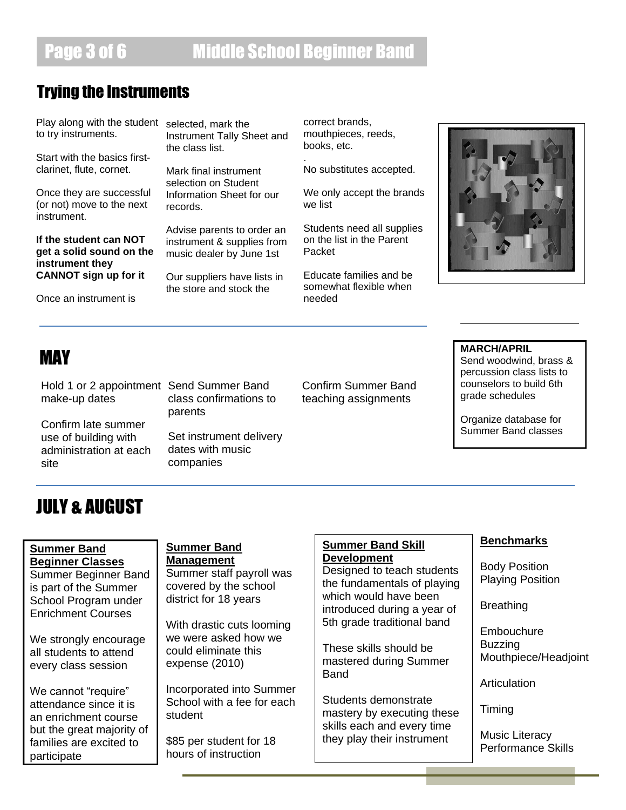### Trying the Instruments

Play along with the student selected, mark the to try instruments.

Start with the basics firstclarinet, flute, cornet.

Once they are successful (or not) move to the next instrument.

**If the student can NOT get a solid sound on the instrument they CANNOT sign up for it**

Once an instrument is

Instrument Tally Sheet and the class list.

Mark final instrument selection on Student Information Sheet for our records.

Advise parents to order an instrument & supplies from music dealer by June 1st

Our suppliers have lists in the store and stock the

correct brands, mouthpieces, reeds, books, etc. .

No substitutes accepted.

We only accept the brands we list

Students need all supplies on the list in the Parent Packet

Educate families and be somewhat flexible when needed



Hold 1 or 2 appointment Send Summer Band make-up dates

Confirm late summer use of building with administration at each site

class confirmations to parents

Set instrument delivery dates with music companies

Confirm Summer Band teaching assignments

**MAY** MARCH/APRIL<br>Send woodwind Send woodwind, brass & percussion class lists to counselors to build 6th grade schedules

> Organize database for Summer Band classes

## JULY & AUGUST

#### **Summer Band Beginner Classes**

Summer Beginner Band is part of the Summer School Program under Enrichment Courses

We strongly encourage all students to attend every class session

We cannot "require" attendance since it is an enrichment course but the great majority of families are excited to participate

#### **Summer Band Management**

Summer staff payroll was covered by the school district for 18 years

With drastic cuts looming we were asked how we could eliminate this expense (2010)

Incorporated into Summer School with a fee for each student

\$85 per student for 18 hours of instruction

### **Summer Band Skill Development**

Designed to teach students the fundamentals of playing which would have been introduced during a year of 5th grade traditional band

These skills should be mastered during Summer Band

Students demonstrate mastery by executing these skills each and every time they play their instrument

#### **Benchmarks**

Body Position Playing Position

Breathing

**Embouchure** Buzzing Mouthpiece/Headjoint

Articulation

Timing

Music Literacy Performance Skills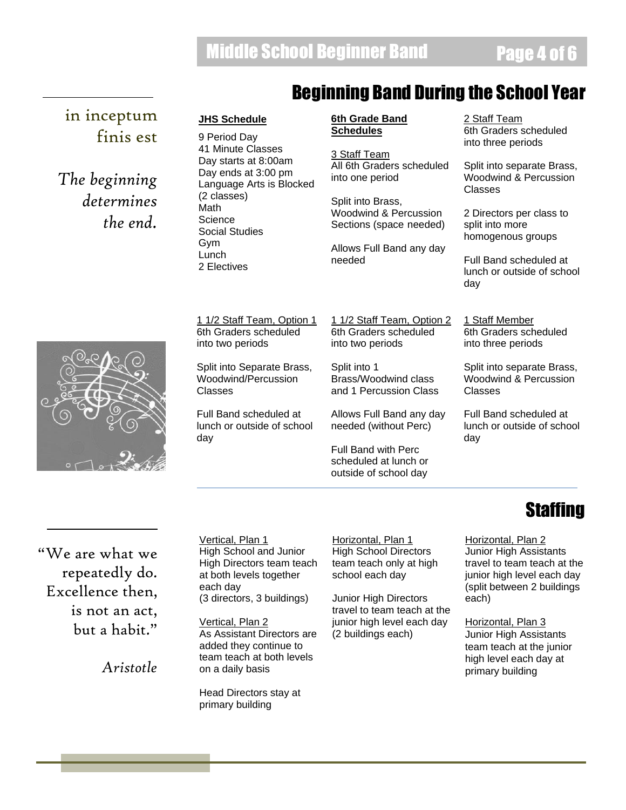### Beginning Band During the School Year

### in inceptum finis est

*The beginning determines the end.*

### **JHS Schedule**

9 Period Day 41 Minute Classes Day starts at 8:00am Day ends at 3:00 pm Language Arts is Blocked (2 classes) Math **Science** Social Studies Gym Lunch 2 Electives

#### **6th Grade Band Schedules**

3 Staff Team All 6th Graders scheduled into one period

Split into Brass, Woodwind & Percussion Sections (space needed)

Allows Full Band any day needed

2 Staff Team 6th Graders scheduled into three periods

Split into separate Brass, Woodwind & Percussion Classes

2 Directors per class to split into more homogenous groups

Full Band scheduled at lunch or outside of school day

1 Staff Member 6th Graders scheduled into three periods

Split into separate Brass, Woodwind & Percussion Classes

Full Band scheduled at lunch or outside of school day

1 1/2 Staff Team, Option 1 6th Graders scheduled into two periods

Split into Separate Brass, Woodwind/Percussion Classes

Full Band scheduled at lunch or outside of school day

1 1/2 Staff Team, Option 2 6th Graders scheduled into two periods

Split into 1 Brass/Woodwind class and 1 Percussion Class

Allows Full Band any day needed (without Perc)

Full Band with Perc scheduled at lunch or outside of school day

### "We are what we repeatedly do. Excellence then, is not an act, but a habit."

*Aristotle*

Vertical, Plan 1 High School and Junior High Directors team teach at both levels together each day (3 directors, 3 buildings)

Vertical, Plan 2 As Assistant Directors are added they continue to team teach at both levels on a daily basis

Head Directors stay at primary building

Horizontal, Plan 1 High School Directors team teach only at high school each day

Junior High Directors travel to team teach at the junior high level each day (2 buildings each)

# **Staffing**

Horizontal, Plan 2 Junior High Assistants travel to team teach at the junior high level each day (split between 2 buildings each)

Horizontal, Plan 3 Junior High Assistants team teach at the junior high level each day at primary building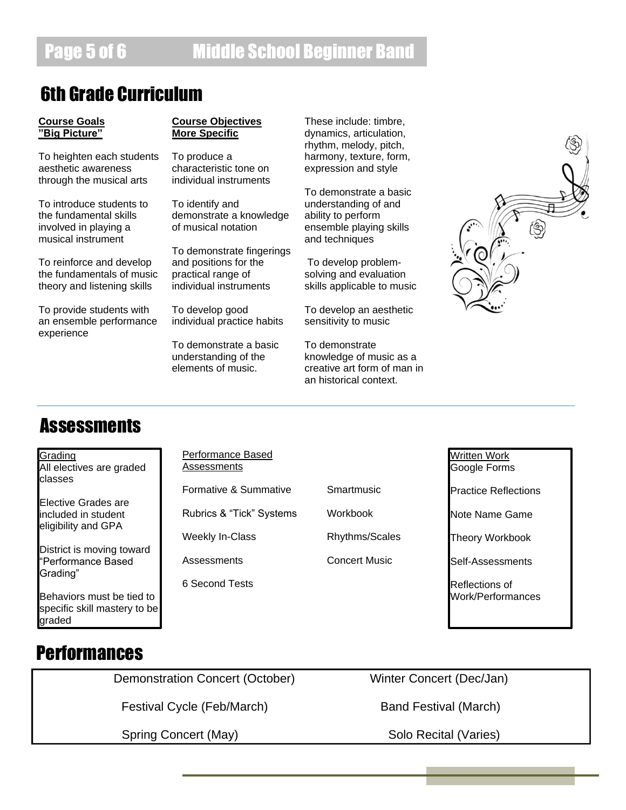## 6th Grade Curriculum

#### **Course Goals "Big Picture"**

To heighten each students aesthetic awareness through the musical arts

To introduce students to the fundamental skills involved in playing a musical instrument

To reinforce and develop the fundamentals of music theory and listening skills

To provide students with an ensemble performance experience

#### **Course Objectives More Specific**

To produce a characteristic tone on individual instruments

To identify and demonstrate a knowledge of musical notation

To demonstrate fingerings and positions for the practical range of individual instruments

To develop good individual practice habits

To demonstrate a basic understanding of the elements of music.

These include: timbre, dynamics, articulation, rhythm, melody, pitch, harmony, texture, form, expression and style

To demonstrate a basic understanding of and ability to perform ensemble playing skills and techniques

To develop problemsolving and evaluation skills applicable to music

To develop an aesthetic sensitivity to music

To demonstrate knowledge of music as a creative art form of man in an historical context.



## **Assessments**

Grading All electives are graded classes

Elective Grades are included in student eligibility and GPA

District is moving toward "Performance Based Grading"

Behaviors must be tied to specific skill mastery to be graded

Performance Based Assessments

Formative & Summative

Rubrics & "Tick" Systems

Weekly In-Class

**Assessments** 

6 Second Tests

**Smartmusic** Workbook

Rhythms/Scales

Concert Music

Written Work Google Forms

Practice Reflections

Note Name Game

Theory Workbook

Self-Assessments

Reflections of Work/Performances

## **Performances**

Demonstration Concert (October) Winter Concert (Dec/Jan)

Festival Cycle (Feb/March) Band Festival (March)

Spring Concert (May) Solo Recital (Varies)